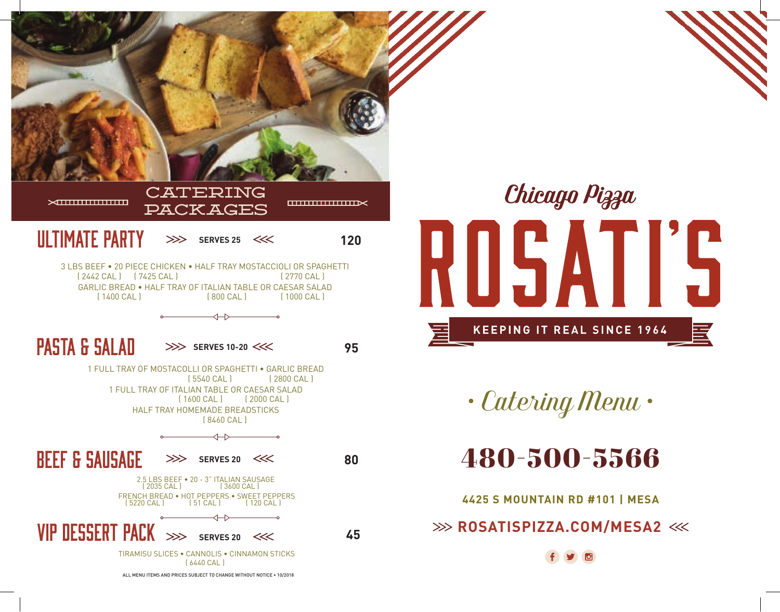



*• Catering Menu •*

## 480-500-5566

**4425 S MOUNTAIN RD #101 | MESA**

**EXAMPLE ASSESSED ASSESSED ASSESSED ASSESSED ASSESSED ASSESSED AT A PAID ASSESSMENT AND RESIDENCE**